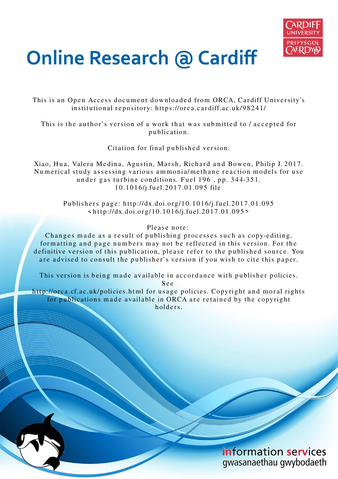

# **Online Research @ Cardiff**

This is an Open Access document downloaded from ORCA, Cardiff University's institutional repository: https://orca.cardiff.ac.uk/98241/

This is the author's version of a work that was submitted to / accepted for p u blication.

Citation for final published version:

Xiao, Hua, Valera Medina, Agustin, Marsh, Richard and Bowen, Philip J. 2017. Numerical study assessing various ammonia/methane reaction models for use under gas turbine conditions. Fuel 196, pp. 344-351. 1 0.10 1 6/j.fuel.20 1 7.01.09 5 file

> Publishers page: http://dx.doi.org/10.1016/j.fuel.2017.01.095  $\frac{\text{th}}{\text{ttp}}$ ://dx.doi.org/10.1016/j.fuel.2017.01.095>

> > Please note:

Changes made as a result of publishing processes such as copy-editing, formatting and page numbers may not be reflected in this version. For the definitive version of this publication, please refer to the published source. You are advised to consult the publisher's version if you wish to cite this paper.

This version is being made available in accordance with publisher policies.

S e e

http://orca.cf.ac.uk/policies.html for usage policies. Copyright and moral rights for publications made available in ORCA are retained by the copyright holders



information services gwasanaethau gwybodaeth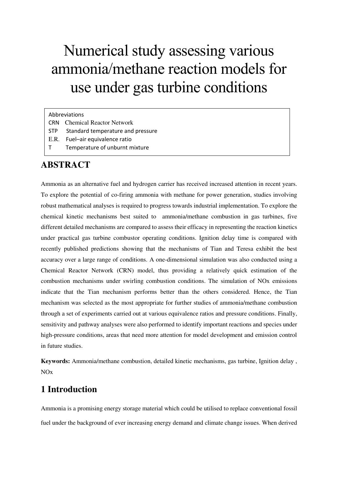## Numerical study assessing various ammonia/methane reaction models for use under gas turbine conditions

#### Abbreviations

- CRN Chemical Reactor Network
- STP Standard temperature and pressure
- E.R. Fuel–air equivalence ratio
- T Temperature of unburnt mixture

## **ABSTRACT**

Ammonia as an alternative fuel and hydrogen carrier has received increased attention in recent years. To explore the potential of co-firing ammonia with methane for power generation, studies involving robust mathematical analyses is required to progress towards industrial implementation. To explore the chemical kinetic mechanisms best suited to ammonia/methane combustion in gas turbines, five different detailed mechanisms are compared to assess their efficacy in representing the reaction kinetics under practical gas turbine combustor operating conditions. Ignition delay time is compared with recently published predictions showing that the mechanisms of Tian and Teresa exhibit the best accuracy over a large range of conditions. A one-dimensional simulation was also conducted using a Chemical Reactor Network (CRN) model, thus providing a relatively quick estimation of the combustion mechanisms under swirling combustion conditions. The simulation of NOx emissions indicate that the Tian mechanism performs better than the others considered. Hence, the Tian mechanism was selected as the most appropriate for further studies of ammonia/methane combustion through a set of experiments carried out at various equivalence ratios and pressure conditions. Finally, sensitivity and pathway analyses were also performed to identify important reactions and species under high-pressure conditions, areas that need more attention for model development and emission control in future studies.

**Keywords:** Ammonia/methane combustion, detailed kinetic mechanisms, gas turbine, Ignition delay , NOx

## **1 Introduction**

Ammonia is a promising energy storage material which could be utilised to replace conventional fossil fuel under the background of ever increasing energy demand and climate change issues. When derived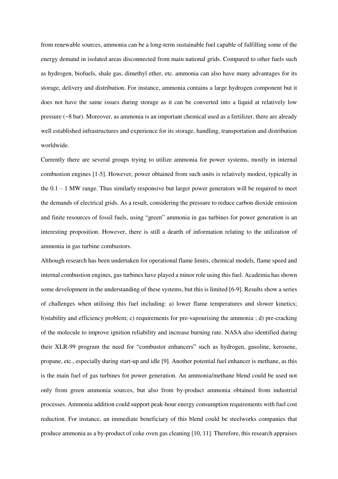from renewable sources, ammonia can be a long-term sustainable fuel capable of fulfilling some of the energy demand in isolated areas disconnected from main national grids. Compared to other fuels such as hydrogen, biofuels, shale gas, dimethyl ether, etc. ammonia can also have many advantages for its storage, delivery and distribution. For instance, ammonia contains a large hydrogen component but it does not have the same issues during storage as it can be converted into a liquid at relatively low pressure (~8 bar). Moreover, as ammonia is an important chemical used as a fertilizer, there are already well established infrastructures and experience for its storage, handling, transportation and distribution worldwide.

Currently there are several groups trying to utilize ammonia for power systems, mostly in internal combustion engines [1-5]. However, power obtained from such units is relatively modest, typically in the  $0.1 - 1$  MW range. Thus similarly responsive but larger power generators will be required to meet the demands of electrical grids. As a result, considering the pressure to reduce carbon dioxide emission and finite resources of fossil fuels, using "green" ammonia in gas turbines for power generation is an interesting proposition. However, there is still a dearth of information relating to the utilization of ammonia in gas turbine combustors.

Although research has been undertaken for operational flame limits, chemical models, flame speed and internal combustion engines, gas turbines have played a minor role using this fuel. Academia has shown some development in the understanding of these systems, but this is limited [6-9]. Results show a series of challenges when utilising this fuel including: a) lower flame temperatures and slower kinetics; b)stability and efficiency problem; c) requirements for pre-vapourising the ammonia ; d) pre-cracking of the molecule to improve ignition reliability and increase burning rate. NASA also identified during their XLR-99 program the need for "combustor enhancers" such as hydrogen, gasoline, kerosene, propane, etc., especially during start-up and idle [9]. Another potential fuel enhancer is methane, as this is the main fuel of gas turbines for power generation. An ammonia/methane blend could be used not only from green ammonia sources, but also from by-product ammonia obtained from industrial processes. Ammonia addition could support peak-hour energy consumption requirements with fuel cost reduction. For instance, an immediate beneficiary of this blend could be steelworks companies that produce ammonia as a by-product of coke oven gas cleaning [10, 11]. Therefore, this research appraises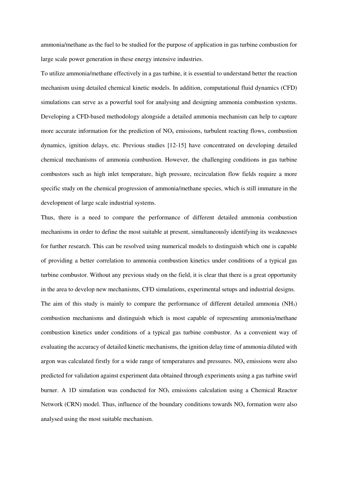ammonia/methane as the fuel to be studied for the purpose of application in gas turbine combustion for large scale power generation in these energy intensive industries.

To utilize ammonia/methane effectively in a gas turbine, it is essential to understand better the reaction mechanism using detailed chemical kinetic models. In addition, computational fluid dynamics (CFD) simulations can serve as a powerful tool for analysing and designing ammonia combustion systems. Developing a CFD-based methodology alongside a detailed ammonia mechanism can help to capture more accurate information for the prediction of  $NO<sub>x</sub>$  emissions, turbulent reacting flows, combustion dynamics, ignition delays, etc. Previous studies [12-15] have concentrated on developing detailed chemical mechanisms of ammonia combustion. However, the challenging conditions in gas turbine combustors such as high inlet temperature, high pressure, recirculation flow fields require a more specific study on the chemical progression of ammonia/methane species, which is still immature in the development of large scale industrial systems.

Thus, there is a need to compare the performance of different detailed ammonia combustion mechanisms in order to define the most suitable at present, simultaneously identifying its weaknesses for further research. This can be resolved using numerical models to distinguish which one is capable of providing a better correlation to ammonia combustion kinetics under conditions of a typical gas turbine combustor. Without any previous study on the field, it is clear that there is a great opportunity in the area to develop new mechanisms, CFD simulations, experimental setups and industrial designs. The aim of this study is mainly to compare the performance of different detailed ammonia  $(NH<sub>3</sub>)$ combustion mechanisms and distinguish which is most capable of representing ammonia/methane combustion kinetics under conditions of a typical gas turbine combustor. As a convenient way of evaluating the accuracy of detailed kinetic mechanisms, the ignition delay time of ammonia diluted with argon was calculated firstly for a wide range of temperatures and pressures.  $NO<sub>x</sub>$  emissions were also predicted for validation against experiment data obtained through experiments using a gas turbine swirl burner. A 1D simulation was conducted for  $NO<sub>x</sub>$  emissions calculation using a Chemical Reactor Network (CRN) model. Thus, influence of the boundary conditions towards  $NO<sub>x</sub>$  formation were also analysed using the most suitable mechanism.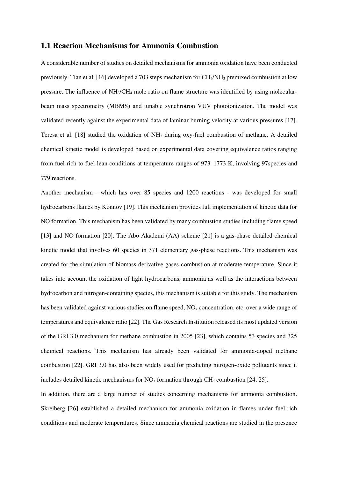#### **1.1 Reaction Mechanisms for Ammonia Combustion**

A considerable number of studies on detailed mechanisms for ammonia oxidation have been conducted previously. Tian et al. [16] developed a 703 steps mechanism for CH4/NH3 premixed combustion at low pressure. The influence of NH3/CH4 mole ratio on flame structure was identified by using molecularbeam mass spectrometry (MBMS) and tunable synchrotron VUV photoionization. The model was validated recently against the experimental data of laminar burning velocity at various pressures [17]. Teresa et al. [18] studied the oxidation of NH3 during oxy-fuel combustion of methane. A detailed chemical kinetic model is developed based on experimental data covering equivalence ratios ranging from fuel-rich to fuel-lean conditions at temperature ranges of 973–1773 K, involving 97species and 779 reactions.

Another mechanism - which has over 85 species and 1200 reactions - was developed for small hydrocarbons flames by Konnov [19]. This mechanism provides full implementation of kinetic data for NO formation. This mechanism has been validated by many combustion studies including flame speed [13] and NO formation [20]. The Åbo Akademi (ÅA) scheme [21] is a gas-phase detailed chemical kinetic model that involves 60 species in 371 elementary gas-phase reactions. This mechanism was created for the simulation of biomass derivative gases combustion at moderate temperature. Since it takes into account the oxidation of light hydrocarbons, ammonia as well as the interactions between hydrocarbon and nitrogen-containing species, this mechanism is suitable for this study. The mechanism has been validated against various studies on flame speed,  $NO<sub>x</sub>$  concentration, etc. over a wide range of temperatures and equivalence ratio [22]. The Gas Research Institution released its most updated version of the GRI 3.0 mechanism for methane combustion in 2005 [23], which contains 53 species and 325 chemical reactions. This mechanism has already been validated for ammonia-doped methane combustion [22]. GRI 3.0 has also been widely used for predicting nitrogen-oxide pollutants since it includes detailed kinetic mechanisms for  $NO<sub>x</sub>$  formation through CH<sub>4</sub> combustion [24, 25].

In addition, there are a large number of studies concerning mechanisms for ammonia combustion. Skreiberg [26] established a detailed mechanism for ammonia oxidation in flames under fuel-rich conditions and moderate temperatures. Since ammonia chemical reactions are studied in the presence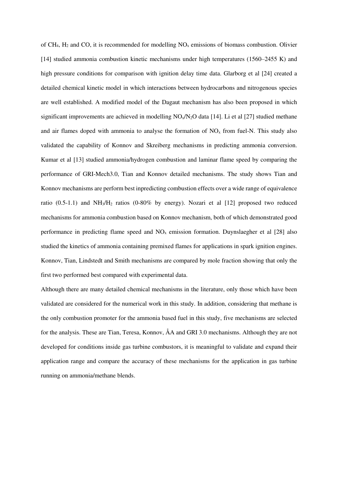of CH<sub>4</sub>, H<sub>2</sub> and CO, it is recommended for modelling  $NO<sub>x</sub>$  emissions of biomass combustion. Olivier [14] studied ammonia combustion kinetic mechanisms under high temperatures (1560–2455 K) and high pressure conditions for comparison with ignition delay time data. Glarborg et al [24] created a detailed chemical kinetic model in which interactions between hydrocarbons and nitrogenous species are well established. A modified model of the Dagaut mechanism has also been proposed in which significant improvements are achieved in modelling  $NO<sub>x</sub>/N<sub>2</sub>O$  data [14]. Li et al [27] studied methane and air flames doped with ammonia to analyse the formation of  $NO<sub>x</sub>$  from fuel-N. This study also validated the capability of Konnov and Skreiberg mechanisms in predicting ammonia conversion. Kumar et al [13] studied ammonia/hydrogen combustion and laminar flame speed by comparing the performance of GRI-Mech3.0, Tian and Konnov detailed mechanisms. The study shows Tian and Konnov mechanisms are perform best inpredicting combustion effects over a wide range of equivalence ratio  $(0.5-1.1)$  and NH<sub>3</sub>/H<sub>2</sub> ratios  $(0.80\%$  by energy). Nozari et al [12] proposed two reduced mechanisms for ammonia combustion based on Konnov mechanism, both of which demonstrated good performance in predicting flame speed and  $NO<sub>x</sub>$  emission formation. Duynslaegher et al [28] also studied the kinetics of ammonia containing premixed flames for applications in spark ignition engines. Konnov, Tian, Lindstedt and Smith mechanisms are compared by mole fraction showing that only the first two performed best compared with experimental data.

Although there are many detailed chemical mechanisms in the literature, only those which have been validated are considered for the numerical work in this study. In addition, considering that methane is the only combustion promoter for the ammonia based fuel in this study, five mechanisms are selected for the analysis. These are Tian, Teresa, Konnov, ÅA and GRI 3.0 mechanisms. Although they are not developed for conditions inside gas turbine combustors, it is meaningful to validate and expand their application range and compare the accuracy of these mechanisms for the application in gas turbine running on ammonia/methane blends.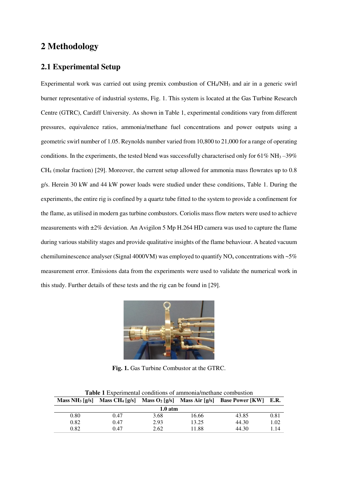## **2 Methodology**

#### **2.1 Experimental Setup**

Experimental work was carried out using premix combustion of CH<sub>4</sub>/NH<sub>3</sub> and air in a generic swirl burner representative of industrial systems, Fig. 1. This system is located at the Gas Turbine Research Centre (GTRC), Cardiff University. As shown in Table 1, experimental conditions vary from different pressures, equivalence ratios, ammonia/methane fuel concentrations and power outputs using a geometric swirl number of 1.05[. Reynolds number v](javascript:void(0);)aried from 10,800 to 21,000 for a range of operating conditions. In the experiments, the tested blend was successfully characterised only for  $61\%$  NH<sub>3</sub> $-39\%$ CH4 (molar fraction) [29]. Moreover, the current setup allowed for ammonia mass flowrates up to 0.8 g/s. Herein 30 kW and 44 kW power loads were studied under these conditions, Table 1. During the experiments, the entire rig is confined by a quartz tube fitted to the system to provide a confinement for the flame, as utilised in modern gas turbine combustors. Coriolis mass flow meters were used to achieve measurements with ±2% deviation. An Avigilon 5 Mp H.264 HD camera was used to capture the flame during various stability stages and provide qualitative insights of the flame behaviour. A heated vacuum chemiluminescence analyser (Signal 4000VM) was employed to quantify  $NO<sub>x</sub>$  concentrations with ~5% measurement error. Emissions data from the experiments were used to validate the numerical work in this study. Further details of these tests and the rig can be found in [29].



**Fig. 1.** Gas Turbine Combustor at the GTRC.

| Mass NH <sub>3</sub> $\lceil \frac{g}{s} \rceil$ | Mass $CH_4[g/s]$ |      | Mass $O_2$ [g/s] Mass Air [g/s] | <b>Base Power [KW]</b> | <b>E.R.</b> |  |  |  |  |
|--------------------------------------------------|------------------|------|---------------------------------|------------------------|-------------|--|--|--|--|
| $1.0$ atm                                        |                  |      |                                 |                        |             |  |  |  |  |
| 0.80                                             | 0.47             | 3.68 | 16.66                           | 43.85                  | 0.81        |  |  |  |  |
| 0.82                                             | 0.47             | 2.93 | 13.25                           | 44.30                  | 1.02        |  |  |  |  |
| 0.82                                             | 0.47             | 2.62 | 11.88                           | 44.30                  | 1.14        |  |  |  |  |

**Table 1** Experimental conditions of ammonia/methane combustion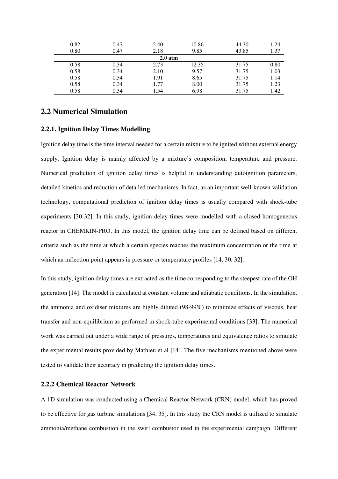|           | 0.82 | 0.47 | 2.40 | 10.86 | 44.30 | 1.24 |  |  |  |  |
|-----------|------|------|------|-------|-------|------|--|--|--|--|
|           | 0.80 | 0.47 | 2.18 | 9.85  | 43.85 | 1.37 |  |  |  |  |
| $2.0$ atm |      |      |      |       |       |      |  |  |  |  |
|           | 0.58 | 0.34 | 2.73 | 12.35 | 31.75 | 0.80 |  |  |  |  |
|           | 0.58 | 0.34 | 2.10 | 9.57  | 31.75 | 1.03 |  |  |  |  |
|           | 0.58 | 0.34 | 1.91 | 8.65  | 31.75 | 1.14 |  |  |  |  |
|           | 0.58 | 0.34 | 1.77 | 8.00  | 31.75 | 1.23 |  |  |  |  |
|           | 0.58 | 0.34 | 1.54 | 6.98  | 31.75 | 1.42 |  |  |  |  |
|           |      |      |      |       |       |      |  |  |  |  |

#### **2.2 Numerical Simulation**

#### **2.2.1. Ignition Delay Times Modelling**

Ignition delay time is the time interval needed for a certain mixture to be ignited without external energy supply. Ignition delay is mainly affected by a mixture's composition, temperature and pressure. Numerical prediction of ignition delay times is helpful in understanding autoignition parameters, detailed kinetics and reduction of detailed mechanisms. In fact, as an important well-known validation technology, computational prediction of ignition delay times is usually compared with shock-tube experiments [30-32]. In this study, ignition delay times were modelled with a closed homogeneous reactor in CHEMKIN-PRO. In this model, the ignition delay time can be defined based on different criteria such as the time at which a certain species reaches the maximum concentration or the time at which an inflection point appears in pressure or temperature profiles [14, 30, 32].

In this study, ignition delay times are extracted as the time corresponding to the steepest rate of the OH generation [14]. The model is calculated at constant volume and adiabatic conditions. In the simulation, the ammonia and oxidiser mixtures are highly diluted (98-99%) to minimize effects of viscous, heat transfer and non-equilibrium as performed in shock-tube experimental conditions [33]. The numerical work was carried out under a wide range of pressures, temperatures and equivalence ratios to simulate the experimental results provided by Mathieu et al [14]. The five mechanisms mentioned above were tested to validate their accuracy in predicting the ignition delay times.

#### **2.2.2 Chemical Reactor Network**

A 1D simulation was conducted using a Chemical Reactor Network (CRN) model, which has proved to be effective for gas turbine simulations [34, 35]. In this study the CRN model is utilized to simulate ammonia/methane combustion in the swirl combustor used in the experimental campaign. Different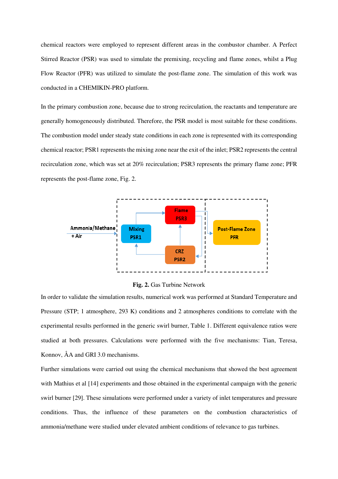chemical reactors were employed to represent different areas in the combustor chamber. A Perfect Stirred Reactor (PSR) was used to simulate the premixing, recycling and flame zones, whilst a Plug Flow Reactor (PFR) was utilized to simulate the post-flame zone. The simulation of this work was conducted in a CHEMIKIN-PRO platform.

In the primary combustion zone, because due to strong recirculation, the reactants and temperature are generally homogeneously distributed. Therefore, the PSR model is most suitable for these conditions. The combustion model under steady state conditions in each zone is represented with its corresponding chemical reactor; PSR1 represents the mixing zone near the exit of the inlet; PSR2 represents the central recirculation zone, which was set at 20% recirculation; PSR3 represents the primary flame zone; PFR represents the post-flame zone, Fig. 2.





In order to validate the simulation results, numerical work was performed at Standard Temperature and Pressure (STP; 1 atmosphere, 293 K) conditions and 2 atmospheres conditions to correlate with the experimental results performed in the generic swirl burner, Table 1. Different equivalence ratios were studied at both pressures. Calculations were performed with the five mechanisms: Tian, Teresa, Konnov, ÅA and GRI 3.0 mechanisms.

Further simulations were carried out using the chemical mechanisms that showed the best agreement with Mathius et al [14] experiments and those obtained in the experimental campaign with the generic swirl burner [29]. These simulations were performed under a variety of inlet temperatures and pressure conditions. Thus, the influence of these parameters on the combustion characteristics of ammonia/methane were studied under elevated ambient conditions of relevance to gas turbines.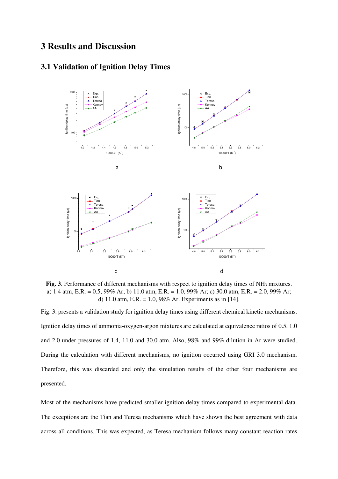## **3 Results and Discussion**

### **3.1 Validation of Ignition Delay Times**



**Fig. 3**. Performance of different mechanisms with respect to ignition delay times of NH<sub>3</sub> mixtures. a) 1.4 atm, E.R. = 0.5, 99% Ar; b) 11.0 atm, E.R. = 1.0, 99% Ar; c) 30.0 atm, E.R. = 2.0, 99% Ar; d) 11.0 atm, E.R. = 1.0, 98% Ar. Experiments as in [14].

Fig. 3. presents a validation study for ignition delay times using different chemical kinetic mechanisms. Ignition delay times of ammonia-oxygen-argon mixtures are calculated at equivalence ratios of 0.5, 1.0 and 2.0 under pressures of 1.4, 11.0 and 30.0 atm. Also, 98% and 99% dilution in Ar were studied. During the calculation with different mechanisms, no ignition occurred using GRI 3.0 mechanism. Therefore, this was discarded and only the simulation results of the other four mechanisms are presented.

Most of the mechanisms have predicted smaller ignition delay times compared to experimental data. The exceptions are the Tian and Teresa mechanisms which have shown the best agreement with data across all conditions. This was expected, as Teresa mechanism follows many constant reaction rates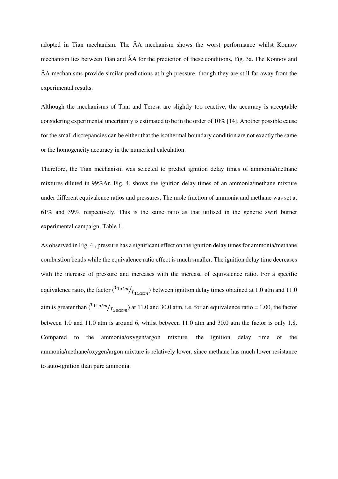adopted in Tian mechanism. The ÅA mechanism shows the worst performance whilst Konnov mechanism lies between Tian and ÅA for the prediction of these conditions, Fig. 3a. The Konnov and ÅA mechanisms provide similar predictions at high pressure, though they are still far away from the experimental results.

Although the mechanisms of Tian and Teresa are slightly too reactive, the accuracy is acceptable considering experimental uncertainty is estimated to be in the order of 10% [14]. Another possible cause for the small discrepancies can be either that the isothermal boundary condition are not exactly the same or the homogeneity accuracy in the numerical calculation.

Therefore, the Tian mechanism was selected to predict ignition delay times of ammonia/methane mixtures diluted in 99%Ar. Fig. 4. shows the ignition delay times of an ammonia/methane mixture under different equivalence ratios and pressures. The mole fraction of ammonia and methane was set at 61% and 39%, respectively. This is the same ratio as that utilised in the generic swirl burner experimental campaign, Table 1.

As observed in Fig. 4., pressure has a significant effect on the ignition delay times for ammonia/methane combustion bends while the equivalence ratio effect is much smaller. The ignition delay time decreases with the increase of pressure and increases with the increase of equivalence ratio. For a specific equivalence ratio, the factor  $\binom{T_{1atm}}{T_{11atm}}$  between ignition delay times obtained at 1.0 atm and 11.0 atm is greater than  $\binom{t_{11atm}}{t_{30atm}}$  at 11.0 and 30.0 atm, i.e. for an equivalence ratio = 1.00, the factor between 1.0 and 11.0 atm is around 6, whilst between 11.0 atm and 30.0 atm the factor is only 1.8. Compared to the ammonia/oxygen/argon mixture, the ignition delay time of the ammonia/methane/oxygen/argon mixture is relatively lower, since methane has much lower resistance to auto-ignition than pure ammonia.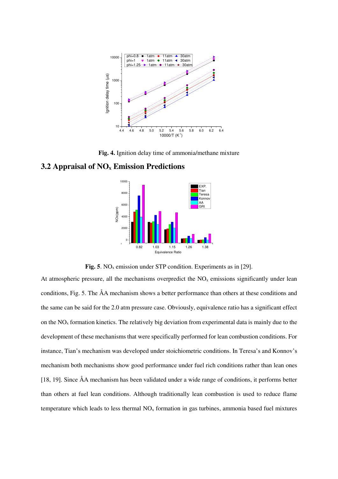

**Fig. 4.** Ignition delay time of ammonia/methane mixture

#### **3.2 Appraisal of NOx Emission Predictions**



**Fig. 5**. NO<sub>x</sub> emission under STP condition. Experiments as in [29].

At atmospheric pressure, all the mechanisms overpredict the  $NO<sub>x</sub>$  emissions significantly under lean conditions, Fig. 5. The ÅA mechanism shows a better performance than others at these conditions and the same can be said for the 2.0 atm pressure case. Obviously, equivalence ratio has a significant effect on the  $NO<sub>x</sub>$  formation kinetics. The relatively big deviation from experimental data is mainly due to the development of these mechanisms that were specifically performed for lean combustion conditions. For instance, Tian's mechanism was developed under stoichiometric conditions. In Teresa's and Konnov's mechanism both mechanisms show good performance under fuel rich conditions rather than lean ones [18, 19]. Since ÅA mechanism has been validated under a wide range of conditions, it performs better than others at fuel lean conditions. Although traditionally lean combustion is used to reduce flame temperature which leads to less thermal  $NO<sub>x</sub>$  formation in gas turbines, ammonia based fuel mixtures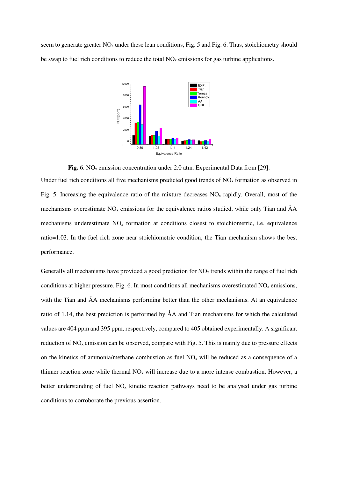seem to generate greater  $NO<sub>x</sub>$  under these lean conditions, Fig. 5 and Fig. 6. Thus, stoichiometry should be swap to fuel rich conditions to reduce the total  $NO<sub>x</sub>$  emissions for gas turbine applications.



**Fig. 6**. NO<sub>x</sub> emission concentration under 2.0 atm. Experimental Data from [29].

Under fuel rich conditions all five mechanisms predicted good trends of  $NO<sub>x</sub>$  formation as observed in Fig. 5. Increasing the equivalence ratio of the mixture decreases  $NO<sub>x</sub>$  rapidly. Overall, most of the mechanisms overestimate  $NO<sub>x</sub>$  emissions for the equivalence ratios studied, while only Tian and  $\AA A$ mechanisms underestimate  $NO<sub>x</sub>$  formation at conditions closest to stoichiometric, i.e. equivalence ratio=1.03. In the fuel rich zone near stoichiometric condition, the Tian mechanism shows the best performance.

Generally all mechanisms have provided a good prediction for  $NO<sub>x</sub>$  trends within the range of fuel rich conditions at higher pressure, Fig. 6. In most conditions all mechanisms overestimated  $NO<sub>x</sub>$  emissions, with the Tian and ÅA mechanisms performing better than the other mechanisms. At an equivalence ratio of 1.14, the best prediction is performed by ÅA and Tian mechanisms for which the calculated values are 404 ppm and 395 ppm, respectively, compared to 405 obtained experimentally. A significant reduction of  $NO<sub>x</sub>$  emission can be observed, compare with Fig. 5. This is mainly due to pressure effects on the kinetics of ammonia/methane combustion as fuel  $NO<sub>x</sub>$  will be reduced as a consequence of a thinner reaction zone while thermal  $NO<sub>x</sub>$  will increase due to a more intense combustion. However, a better understanding of fuel  $NO<sub>x</sub>$  kinetic reaction pathways need to be analysed under gas turbine conditions to corroborate the previous assertion.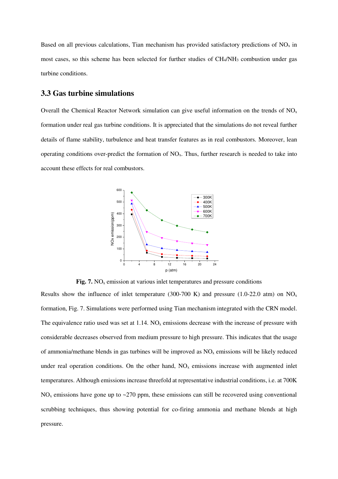Based on all previous calculations, Tian mechanism has provided satisfactory predictions of  $NO<sub>x</sub>$  in most cases, so this scheme has been selected for further studies of CH4/NH3 combustion under gas turbine conditions.

#### **3.3 Gas turbine simulations**

Overall the Chemical Reactor Network simulation can give useful information on the trends of  $NO<sub>x</sub>$ formation under real gas turbine conditions. It is appreciated that the simulations do not reveal further details of flame stability, turbulence and heat transfer features as in real combustors. Moreover, lean operating conditions over-predict the formation of  $NO<sub>x</sub>$ . Thus, further research is needed to take into account these effects for real combustors.



**Fig. 7.** NO<sub>x</sub> emission at various inlet temperatures and pressure conditions

Results show the influence of inlet temperature (300-700 K) and pressure (1.0-22.0 atm) on  $NO<sub>x</sub>$ formation, Fig. 7. Simulations were performed using Tian mechanism integrated with the CRN model. The equivalence ratio used was set at  $1.14$ . NO<sub>x</sub> emissions decrease with the increase of pressure with considerable decreases observed from medium pressure to high pressure. This indicates that the usage of ammonia/methane blends in gas turbines will be improved as  $NO<sub>x</sub>$  emissions will be likely reduced under real operation conditions. On the other hand,  $NO<sub>x</sub>$  emissions increase with augmented inlet temperatures. Although emissions increase threefold at representative industrial conditions, i.e. at 700K  $NO<sub>x</sub>$  emissions have gone up to ~270 ppm, these emissions can still be recovered using conventional scrubbing techniques, thus showing potential for co-firing ammonia and methane blends at high pressure.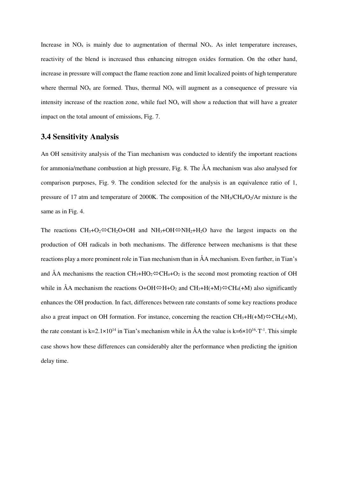Increase in  $NO<sub>x</sub>$  is mainly due to augmentation of thermal  $NO<sub>x</sub>$ . As inlet temperature increases, reactivity of the blend is increased thus enhancing nitrogen oxides formation. On the other hand, increase in pressure will compact the flame reaction zone and limit localized points of high temperature where thermal  $NO<sub>x</sub>$  are formed. Thus, thermal  $NO<sub>x</sub>$  will augment as a consequence of pressure via intensity increase of the reaction zone, while fuel  $NO<sub>x</sub>$  will show a reduction that will have a greater impact on the total amount of emissions, Fig. 7.

#### **3.4 Sensitivity Analysis**

An OH sensitivity analysis of the Tian mechanism was conducted to identify the important reactions for ammonia/methane combustion at high pressure, Fig. 8. The ÅA mechanism was also analysed for comparison purposes, Fig. 9. The condition selected for the analysis is an equivalence ratio of 1, pressure of 17 atm and temperature of 2000K. The composition of the  $NH<sub>3</sub>/CH<sub>4</sub>/O<sub>2</sub>/Ar$  mixture is the same as in Fig. 4.

The reactions  $CH_3+O_2 \Leftrightarrow CH_2O+OH$  and  $NH_3+OH \Leftrightarrow NH_2+H_2O$  have the largest impacts on the production of OH radicals in both mechanisms. The difference between mechanisms is that these reactions play a more prominent role in Tian mechanism than in ÅA mechanism. Even further, in Tian's and ÅA mechanisms the reaction  $CH_3+HO_2 \otimes CH_4+O_2$  is the second most promoting reaction of OH while in ÅA mechanism the reactions  $O+OH \Leftrightarrow H+O_2$  and  $CH_3+H(+M) \Leftrightarrow CH_4+M$ ) also significantly enhances the OH production. In fact, differences between rate constants of some key reactions produce also a great impact on OH formation. For instance, concerning the reaction  $CH_3+H(+M)\overset{\triangle}{\leftrightarrow} CH_4(+M)$ , the rate constant is k=2.1×10<sup>14</sup> in Tian's mechanism while in ÅA the value is k=6×10<sup>16</sup>·T<sup>-1</sup>. This simple case shows how these differences can considerably alter the performance when predicting the ignition delay time.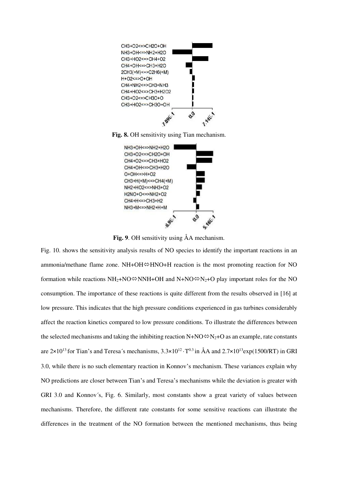

**Fig. 8.** OH sensitivity using Tian mechanism.



**Fig. 9**. OH sensitivity using ÅA mechanism.

Fig. 10. shows the sensitivity analysis results of NO species to identify the important reactions in an ammonia/methane flame zone.  $NH+OH \oplus HNO+H$  reaction is the most promoting reaction for NO formation while reactions  $NH_2+NO\otimes NNH+OH$  and  $N+NO\otimes N_2+O$  play important roles for the NO consumption. The importance of these reactions is quite different from the results observed in [16] at low pressure. This indicates that the high pressure conditions experienced in gas turbines considerably affect the reaction kinetics compared to low pressure conditions. To illustrate the differences between the selected mechanisms and taking the inhibiting reaction  $N+NO \, \nless N_2+O$  as an example, rate constants are  $2\times10^{13}$  for Tian's and Teresa's mechanisms,  $3.3\times10^{12}\cdot$  T<sup>0.3</sup> in ÅA and  $2.7\times10^{13}$ exp(1500/RT) in GRI 3.0, while there is no such elementary reaction in Konnov's mechanism. These variances explain why NO predictions are closer between Tian's and Teresa's mechanisms while the deviation is greater with GRI 3.0 and Konnov´s, Fig. 6. Similarly, most constants show a great variety of values between mechanisms. Therefore, the different rate constants for some sensitive reactions can illustrate the differences in the treatment of the NO formation between the mentioned mechanisms, thus being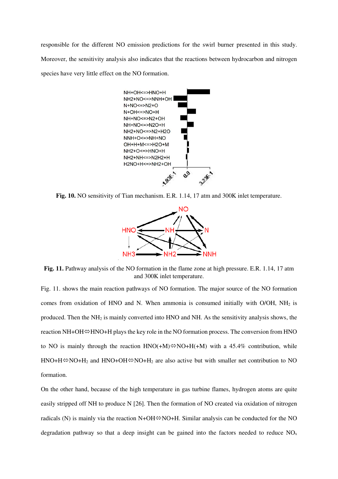responsible for the different NO emission predictions for the swirl burner presented in this study. Moreover, the sensitivity analysis also indicates that the reactions between hydrocarbon and nitrogen species have very little effect on the NO formation.



**Fig. 10.** NO sensitivity of Tian mechanism. E.R. 1.14, 17 atm and 300K inlet temperature.



**Fig. 11.** Pathway analysis of the NO formation in the flame zone at high pressure. E.R. 1.14, 17 atm and 300K inlet temperature.

Fig. 11. shows the main reaction pathways of NO formation. The major source of the NO formation comes from oxidation of HNO and N. When ammonia is consumed initially with O/OH, NH2 is produced. Then the NH2 is mainly converted into HNO and NH. As the sensitivity analysis shows, the reaction NH+OH $\Leftrightarrow$ HNO+H plays the key role in the NO formation process. The conversion from HNO to NO is mainly through the reaction  $HNO(+M)\otimes NO+H(+M)$  with a 45.4% contribution, while  $HNO+H\Rightarrow NO+H<sub>2</sub>$  and  $HNO+OH\Rightarrow NO+H<sub>2</sub>$  are also active but with smaller net contribution to NO formation.

On the other hand, because of the high temperature in gas turbine flames, hydrogen atoms are quite easily stripped off NH to produce N [26]. Then the formation of NO created via oxidation of nitrogen radicals (N) is mainly via the reaction  $N+OH \oplus NO+H$ . Similar analysis can be conducted for the NO degradation pathway so that a deep insight can be gained into the factors needed to reduce  $NO<sub>x</sub>$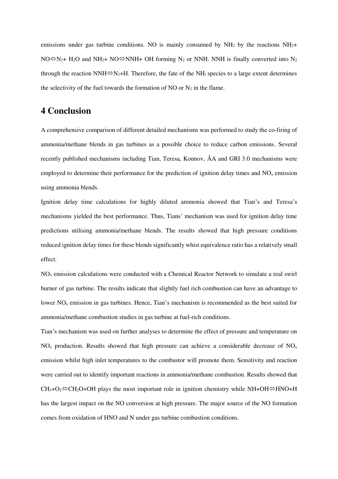emissions under gas turbine conditions. NO is mainly consumed by  $NH<sub>2</sub>$  by the reactions  $NH<sub>2</sub>$ +  $NO \otimes N_2$ + H<sub>2</sub>O and NH<sub>2</sub>+ NO $\otimes$ NNH+ OH forming N<sub>2</sub> or NNH. NNH is finally converted into N<sub>2</sub> through the reaction NNH $\Leftrightarrow$ N<sub>2</sub>+H. Therefore, the fate of the NH<sub>i</sub> species to a large extent determines the selectivity of the fuel towards the formation of NO or  $N_2$  in the flame.

## **4 Conclusion**

A comprehensive comparison of different detailed mechanisms was performed to study the co-firing of ammonia/methane blends in gas turbines as a possible choice to reduce carbon emissions. Several recently published mechanisms including Tian, Teresa, Konnov, ÅA and GRI 3.0 mechanisms were employed to determine their performance for the prediction of ignition delay times and  $NO<sub>x</sub>$  emission using ammonia blends.

Ignition delay time calculations for highly diluted ammonia showed that Tian's and Teresa's mechanisms yielded the best performance. Thus, Tians' mechanism was used for ignition delay time predictions utilising ammonia/methane blends. The results showed that high pressure conditions reduced ignition delay times for these blends significantly whist equivalence ratio has a relatively small effect.

NOx emission calculations were conducted with a Chemical Reactor Network to simulate a real swirl burner of gas turbine. The results indicate that slightly fuel rich combustion can have an advantage to lower  $NO<sub>x</sub>$  emission in gas turbines. Hence, Tian's mechanism is recommended as the best suited for ammonia/methane combustion studies in gas turbine at fuel-rich conditions.

Tian's mechanism was used on further analyses to determine the effect of pressure and temperature on  $NO<sub>x</sub>$  production. Results showed that high pressure can achieve a considerable decrease of  $NO<sub>x</sub>$ emission whilst high inlet temperatures to the combustor will promote them. Sensitivity and reaction were carried out to identify important reactions in ammonia/methane combustion. Results showed that  $CH_3+O_2 \otimes CH_2O+OH$  plays the most important role in ignition chemistry while NH+OH $\Leftrightarrow$ HNO+H has the largest impact on the NO conversion at high pressure. The major source of the NO formation comes from oxidation of HNO and N under gas turbine combustion conditions.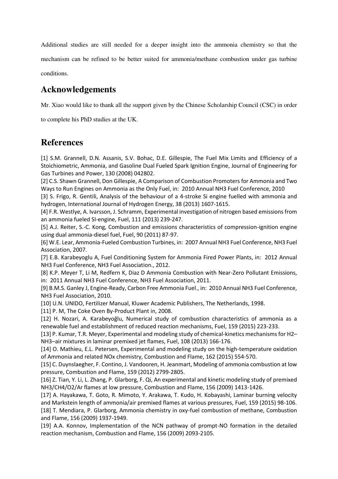Additional studies are still needed for a deeper insight into the ammonia chemistry so that the mechanism can be refined to be better suited for ammonia/methane combustion under gas turbine conditions.

## **Acknowledgements**

Mr. Xiao would like to thank all the support given by the Chinese Scholarship Council (CSC) in order

to complete his PhD studies at the UK.

## **References**

[1] S.M. Grannell, D.N. Assanis, S.V. Bohac, D.E. Gillespie, The Fuel Mix Limits and Efficiency of a Stoichiometric, Ammonia, and Gasoline Dual Fueled Spark Ignition Engine, Journal of Engineering for Gas Turbines and Power, 130 (2008) 042802.

[2] C.S. Shawn Grannell, Don Gillespie, A Comparison of Combustion Promoters for Ammonia and Two Ways to Run Engines on Ammonia as the Only Fuel, in: 2010 Annual NH3 Fuel Conference, 2010

[3] S. Frigo, R. Gentili, Analysis of the behaviour of a 4-stroke Si engine fuelled with ammonia and hydrogen, International Journal of Hydrogen Energy, 38 (2013) 1607-1615.

[4] F.R. Westlye, A. Ivarsson, J. Schramm, Experimental investigation of nitrogen based emissions from an ammonia fueled SI-engine, Fuel, 111 (2013) 239-247.

[5] A.J. Reiter, S.-C. Kong, Combustion and emissions characteristics of compression-ignition engine using dual ammonia-diesel fuel, Fuel, 90 (2011) 87-97.

[6] W.E. Lear, Ammonia-Fueled Combustion Turbines, in: 2007 Annual NH3 Fuel Conference, NH3 Fuel Association, 2007.

[7] E.B. Karabeyoglu A, Fuel Conditioning System for Ammonia Fired Power Plants, in: 2012 Annual NH3 Fuel Conference, NH3 Fuel Association., 2012.

[8] K.P. Meyer T, Li M, Redfern K, Diaz D Ammonia Combustion with Near-Zero Pollutant Emissions, in: 2011 Annual NH3 Fuel Conference, NH3 Fuel Association, 2011.

[9] B.M.S. Ganley J, Engine-Ready, Carbon Free Ammonia Fuel., in: 2010 Annual NH3 Fuel Conference, NH3 Fuel Association, 2010.

[10] U.N. UNIDO, Fertilizer Manual, Kluwer Academic Publishers, The Netherlands, 1998.

[11] P. M. The Coke Oven By-Product Plant in, 2008.

[12] H. Nozari, A. Karabeyoğlu, Numerical study of combustion characteristics of ammonia as a renewable fuel and establishment of reduced reaction mechanisms, Fuel, 159 (2015) 223-233.

[13] P. Kumar, T.R. Meyer, Experimental and modeling study of chemical-kinetics mechanisms for H2– NH3–air mixtures in laminar premixed jet flames, Fuel, 108 (2013) 166-176.

[14] O. Mathieu, E.L. Petersen, Experimental and modeling study on the high-temperature oxidation of Ammonia and related NOx chemistry, Combustion and Flame, 162 (2015) 554-570.

[15] C. Duynslaegher, F. Contino, J. Vandooren, H. Jeanmart, Modeling of ammonia combustion at low pressure, Combustion and Flame, 159 (2012) 2799-2805.

[16] Z. Tian, Y. Li, L. Zhang, P. Glarborg, F. Qi, An experimental and kinetic modeling study of premixed NH3/CH4/O2/Ar flames at low pressure, Combustion and Flame, 156 (2009) 1413-1426.

[17] A. Hayakawa, T. Goto, R. Mimoto, Y. Arakawa, T. Kudo, H. Kobayashi, Laminar burning velocity and Markstein length of ammonia/air premixed flames at various pressures, Fuel, 159 (2015) 98-106.

[18] T. Mendiara, P. Glarborg, Ammonia chemistry in oxy-fuel combustion of methane, Combustion and Flame, 156 (2009) 1937-1949.

[19] A.A. Konnov, Implementation of the NCN pathway of prompt-NO formation in the detailed reaction mechanism, Combustion and Flame, 156 (2009) 2093-2105.